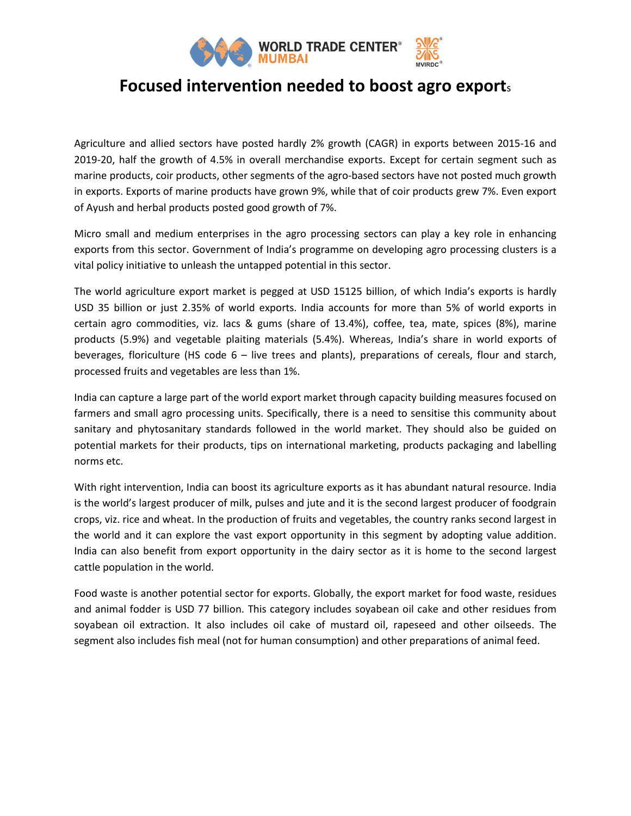

## **Focused intervention needed to boost agro export**<sup>s</sup>

Agriculture and allied sectors have posted hardly 2% growth (CAGR) in exports between 2015-16 and 2019-20, half the growth of 4.5% in overall merchandise exports. Except for certain segment such as marine products, coir products, other segments of the agro-based sectors have not posted much growth in exports. Exports of marine products have grown 9%, while that of coir products grew 7%. Even export of Ayush and herbal products posted good growth of 7%.

Micro small and medium enterprises in the agro processing sectors can play a key role in enhancing exports from this sector. Government of India's programme on developing agro processing clusters is a vital policy initiative to unleash the untapped potential in this sector.

The world agriculture export market is pegged at USD 15125 billion, of which India's exports is hardly USD 35 billion or just 2.35% of world exports. India accounts for more than 5% of world exports in certain agro commodities, viz. lacs & gums (share of 13.4%), coffee, tea, mate, spices (8%), marine products (5.9%) and vegetable plaiting materials (5.4%). Whereas, India's share in world exports of beverages, floriculture (HS code 6 – live trees and plants), preparations of cereals, flour and starch, processed fruits and vegetables are less than 1%.

India can capture a large part of the world export market through capacity building measures focused on farmers and small agro processing units. Specifically, there is a need to sensitise this community about sanitary and phytosanitary standards followed in the world market. They should also be guided on potential markets for their products, tips on international marketing, products packaging and labelling norms etc.

With right intervention, India can boost its agriculture exports as it has abundant natural resource. India is the world's largest producer of milk, pulses and jute and it is the second largest producer of foodgrain crops, viz. rice and wheat. In the production of fruits and vegetables, the country ranks second largest in the world and it can explore the vast export opportunity in this segment by adopting value addition. India can also benefit from export opportunity in the dairy sector as it is home to the second largest cattle population in the world.

Food waste is another potential sector for exports. Globally, the export market for food waste, residues and animal fodder is USD 77 billion. This category includes soyabean oil cake and other residues from soyabean oil extraction. It also includes oil cake of mustard oil, rapeseed and other oilseeds. The segment also includes fish meal (not for human consumption) and other preparations of animal feed.